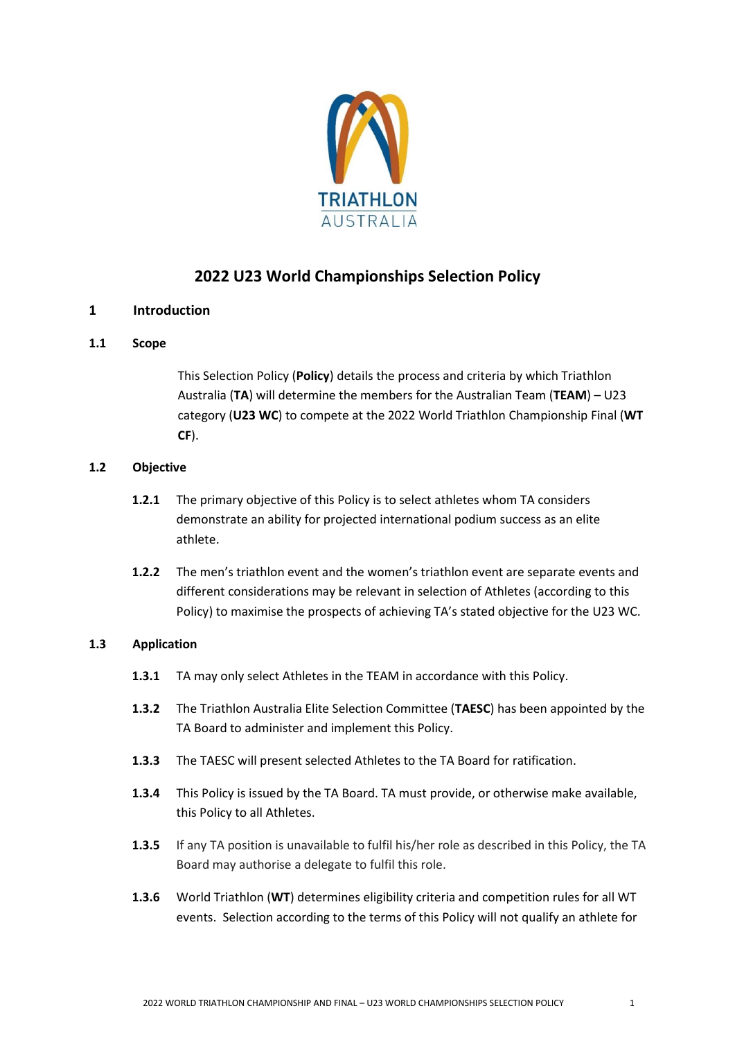

# **2022 U23 World Championships Selection Policy**

# **1 Introduction**

### **1.1 Scope**

This Selection Policy (**Policy**) details the process and criteria by which Triathlon Australia (**TA**) will determine the members for the Australian Team (**TEAM**) – U23 category (**U23 WC**) to compete at the 2022 World Triathlon Championship Final (**WT CF**).

### **1.2 Objective**

- **1.2.1** The primary objective of this Policy is to select athletes whom TA considers demonstrate an ability for projected international podium success as an elite athlete.
- **1.2.2** The men's triathlon event and the women's triathlon event are separate events and different considerations may be relevant in selection of Athletes (according to this Policy) to maximise the prospects of achieving TA's stated objective for the U23 WC.

### **1.3 Application**

- **1.3.1** TA may only select Athletes in the TEAM in accordance with this Policy.
- **1.3.2** The Triathlon Australia Elite Selection Committee (**TAESC**) has been appointed by the TA Board to administer and implement this Policy.
- **1.3.3** The TAESC will present selected Athletes to the TA Board for ratification.
- **1.3.4** This Policy is issued by the TA Board. TA must provide, or otherwise make available, this Policy to all Athletes.
- **1.3.5** If any TA position is unavailable to fulfil his/her role as described in this Policy, the TA Board may authorise a delegate to fulfil this role.
- **1.3.6** World Triathlon (**WT**) determines eligibility criteria and competition rules for all WT events. Selection according to the terms of this Policy will not qualify an athlete for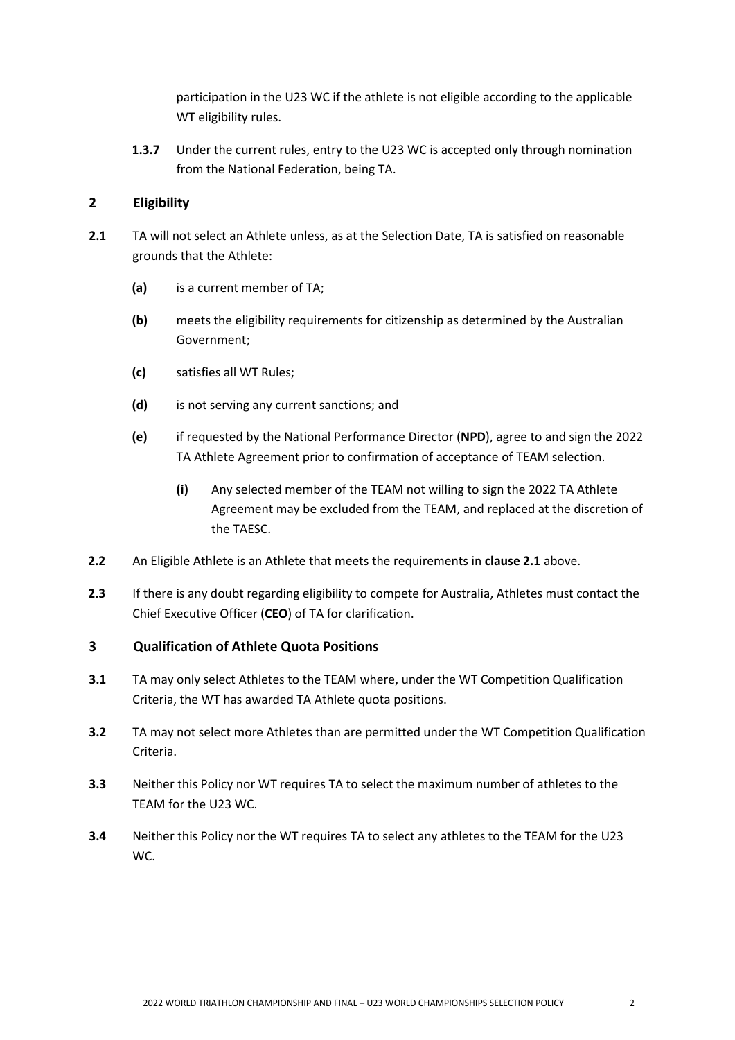participation in the U23 WC if the athlete is not eligible according to the applicable WT eligibility rules.

**1.3.7** Under the current rules, entry to the U23 WC is accepted only through nomination from the National Federation, being TA.

# **2 Eligibility**

- **2.1** TA will not select an Athlete unless, as at the Selection Date, TA is satisfied on reasonable grounds that the Athlete:
	- **(a)** is a current member of TA;
	- **(b)** meets the eligibility requirements for citizenship as determined by the Australian Government;
	- **(c)** satisfies all WT Rules;
	- **(d)** is not serving any current sanctions; and
	- **(e)** if requested by the National Performance Director (**NPD**), agree to and sign the 2022 TA Athlete Agreement prior to confirmation of acceptance of TEAM selection.
		- **(i)** Any selected member of the TEAM not willing to sign the 2022 TA Athlete Agreement may be excluded from the TEAM, and replaced at the discretion of the TAESC.
- **2.2** An Eligible Athlete is an Athlete that meets the requirements in **clause 2.1** above.
- **2.3** If there is any doubt regarding eligibility to compete for Australia, Athletes must contact the Chief Executive Officer (**CEO**) of TA for clarification.

# **3 Qualification of Athlete Quota Positions**

- **3.1** TA may only select Athletes to the TEAM where, under the WT Competition Qualification Criteria, the WT has awarded TA Athlete quota positions.
- **3.2** TA may not select more Athletes than are permitted under the WT Competition Qualification Criteria.
- **3.3** Neither this Policy nor WT requires TA to select the maximum number of athletes to the TEAM for the U23 WC.
- **3.4** Neither this Policy nor the WT requires TA to select any athletes to the TEAM for the U23 WC.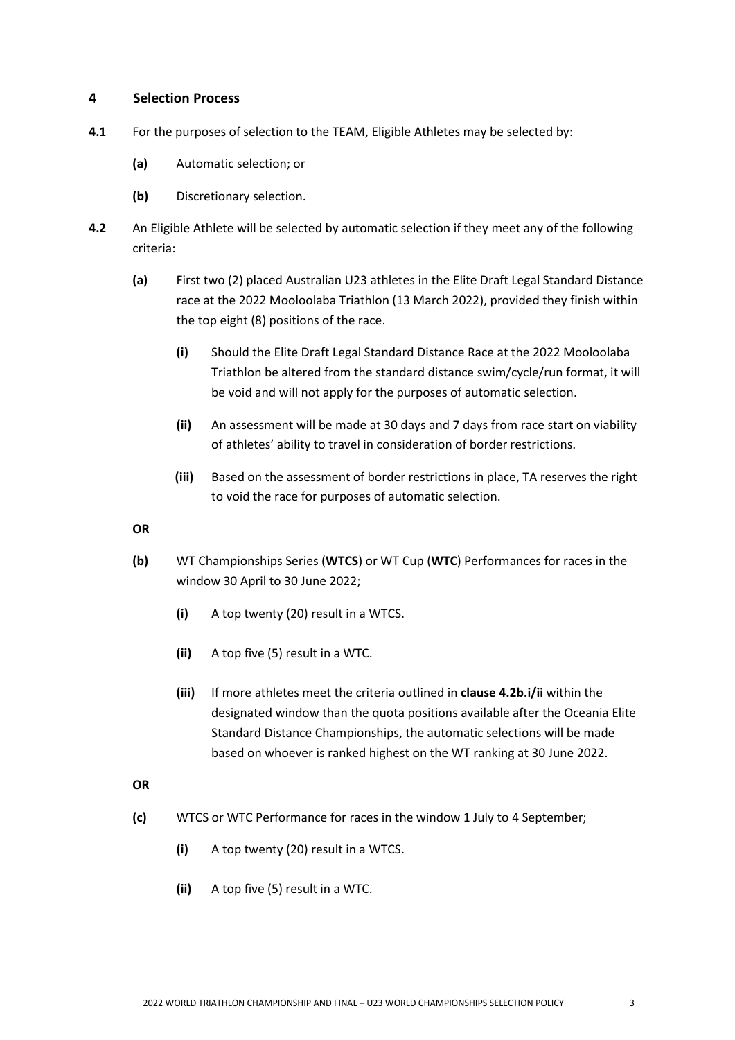### **4 Selection Process**

- **4.1** For the purposes of selection to the TEAM, Eligible Athletes may be selected by:
	- **(a)** Automatic selection; or
	- **(b)** Discretionary selection.
- **4.2** An Eligible Athlete will be selected by automatic selection if they meet any of the following criteria:
	- **(a)** First two (2) placed Australian U23 athletes in the Elite Draft Legal Standard Distance race at the 2022 Mooloolaba Triathlon (13 March 2022), provided they finish within the top eight (8) positions of the race.
		- **(i)** Should the Elite Draft Legal Standard Distance Race at the 2022 Mooloolaba Triathlon be altered from the standard distance swim/cycle/run format, it will be void and will not apply for the purposes of automatic selection.
		- **(ii)** An assessment will be made at 30 days and 7 days from race start on viability of athletes' ability to travel in consideration of border restrictions.
		- **(iii)** Based on the assessment of border restrictions in place, TA reserves the right to void the race for purposes of automatic selection.

#### **OR**

- **(b)** WT Championships Series (**WTCS**) or WT Cup (**WTC**) Performances for races in the window 30 April to 30 June 2022;
	- **(i)** A top twenty (20) result in a WTCS.
	- **(ii)** A top five (5) result in a WTC.
	- **(iii)** If more athletes meet the criteria outlined in **clause 4.2b.i/ii** within the designated window than the quota positions available after the Oceania Elite Standard Distance Championships, the automatic selections will be made based on whoever is ranked highest on the WT ranking at 30 June 2022.

### **OR**

- **(c)** WTCS or WTC Performance for races in the window 1 July to 4 September;
	- **(i)** A top twenty (20) result in a WTCS.
	- **(ii)** A top five (5) result in a WTC.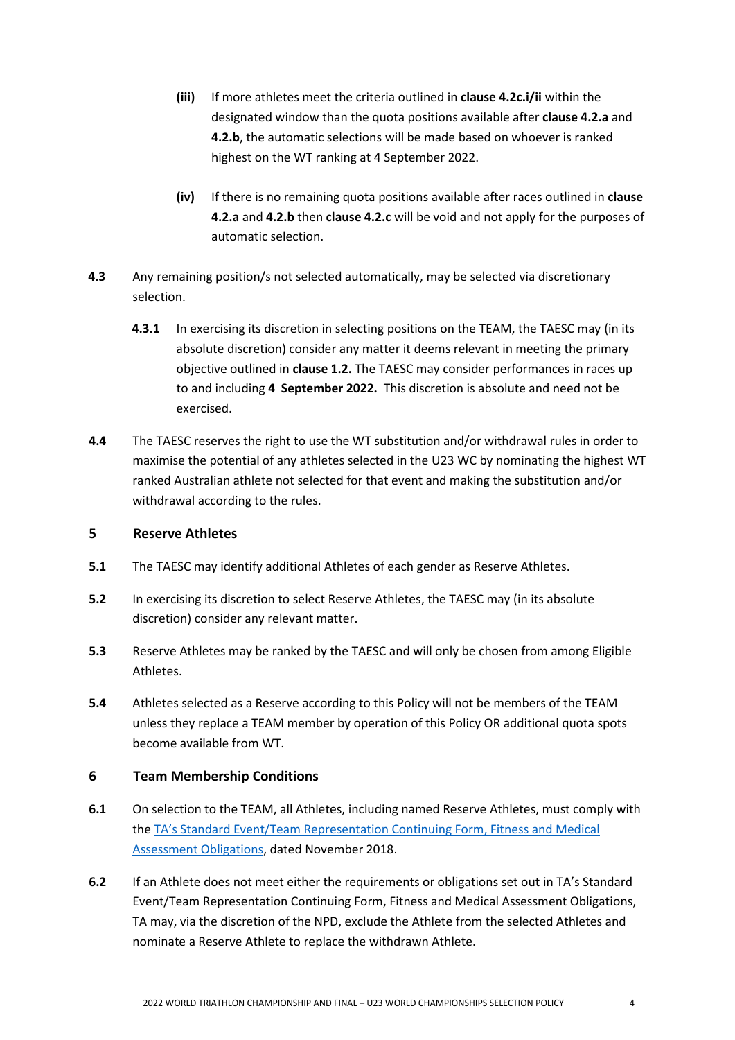- **(iii)** If more athletes meet the criteria outlined in **clause 4.2c.i/ii** within the designated window than the quota positions available after **clause 4.2.a** and **4.2.b**, the automatic selections will be made based on whoever is ranked highest on the WT ranking at 4 September 2022.
- **(iv)** If there is no remaining quota positions available after races outlined in **clause 4.2.a** and **4.2.b** then **clause 4.2.c** will be void and not apply for the purposes of automatic selection.
- **4.3** Any remaining position/s not selected automatically, may be selected via discretionary selection.
	- **4.3.1** In exercising its discretion in selecting positions on the TEAM, the TAESC may (in its absolute discretion) consider any matter it deems relevant in meeting the primary objective outlined in **clause 1.2.** The TAESC may consider performances in races up to and including **4 September 2022.** This discretion is absolute and need not be exercised.
- **4.4** The TAESC reserves the right to use the WT substitution and/or withdrawal rules in order to maximise the potential of any athletes selected in the U23 WC by nominating the highest WT ranked Australian athlete not selected for that event and making the substitution and/or withdrawal according to the rules.

# **5 Reserve Athletes**

- **5.1** The TAESC may identify additional Athletes of each gender as Reserve Athletes.
- **5.2** In exercising its discretion to select Reserve Athletes, the TAESC may (in its absolute discretion) consider any relevant matter.
- **5.3** Reserve Athletes may be ranked by the TAESC and will only be chosen from among Eligible Athletes.
- **5.4** Athletes selected as a Reserve according to this Policy will not be members of the TEAM unless they replace a TEAM member by operation of this Policy OR additional quota spots become available from WT.

# **6 Team Membership Conditions**

- **6.1** On selection to the TEAM, all Athletes, including named Reserve Athletes, must comply with the TA's Standard [Event/Team Representation Continuing Form, Fitness and Medical](http://www.triathlon.org.au/Assets/Triathlon+Australia+Digital+Assets/Athlete+Fitness+and+Medical+Obligations.pdf)  [Assessment Obligations,](http://www.triathlon.org.au/Assets/Triathlon+Australia+Digital+Assets/Athlete+Fitness+and+Medical+Obligations.pdf) dated November 2018.
- **6.2** If an Athlete does not meet either the requirements or obligations set out in TA's Standard Event/Team Representation Continuing Form, Fitness and Medical Assessment Obligations, TA may, via the discretion of the NPD, exclude the Athlete from the selected Athletes and nominate a Reserve Athlete to replace the withdrawn Athlete.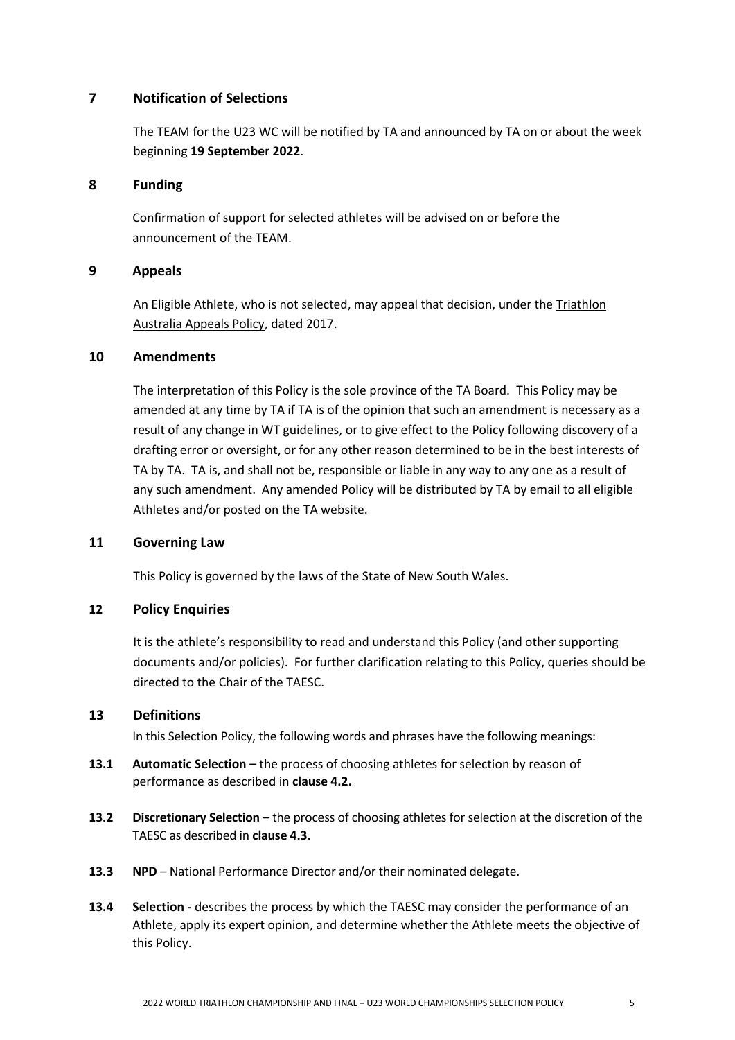### **7 Notification of Selections**

The TEAM for the U23 WC will be notified by TA and announced by TA on or about the week beginning **19 September 2022**.

#### **8 Funding**

Confirmation of support for selected athletes will be advised on or before the announcement of the TEAM.

### **9 Appeals**

An Eligible Athlete, who is not selected, may appeal that decision, under the Triathlon [Australia Appeals Policy,](http://www.triathlon.org.au/Assets/Triathlon+Australia+Digital+Assets/2017+Triathlon+Australia+Appeals+Policy.pdf) dated 2017.

#### **10 Amendments**

The interpretation of this Policy is the sole province of the TA Board. This Policy may be amended at any time by TA if TA is of the opinion that such an amendment is necessary as a result of any change in WT guidelines, or to give effect to the Policy following discovery of a drafting error or oversight, or for any other reason determined to be in the best interests of TA by TA. TA is, and shall not be, responsible or liable in any way to any one as a result of any such amendment. Any amended Policy will be distributed by TA by email to all eligible Athletes and/or posted on the TA website.

#### **11 Governing Law**

This Policy is governed by the laws of the State of New South Wales.

### **12 Policy Enquiries**

It is the athlete's responsibility to read and understand this Policy (and other supporting documents and/or policies).For further clarification relating to this Policy, queries should be directed to the Chair of the TAESC.

### **13 Definitions**

In this Selection Policy, the following words and phrases have the following meanings:

- **13.1 Automatic Selection –** the process of choosing athletes for selection by reason of performance as described in **clause 4.2.**
- **13.2 Discretionary Selection** the process of choosing athletes for selection at the discretion of the TAESC as described in **clause 4.3.**
- **13.3 NPD** National Performance Director and/or their nominated delegate.
- **13.4 Selection** *-* describes the process by which the TAESC may consider the performance of an Athlete, apply its expert opinion, and determine whether the Athlete meets the objective of this Policy.